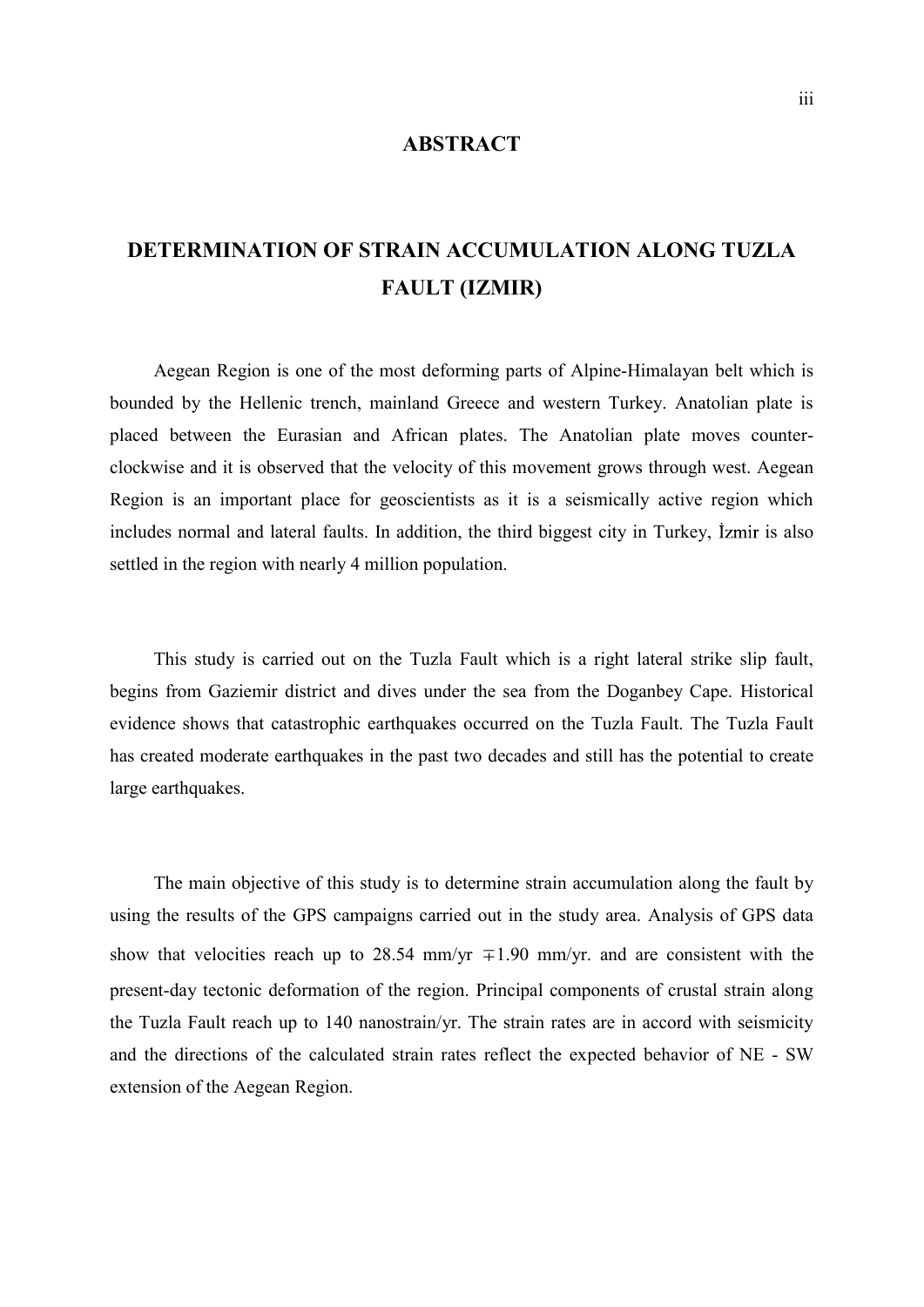## ABSTRACT

## DETERMINATION OF STRAIN ACCUMULATION ALONG TUZLA FAULT (IZMIR)

Aegean Region is one of the most deforming parts of Alpine-Himalayan belt which is bounded by the Hellenic trench, mainland Greece and western Turkey. Anatolian plate is placed between the Eurasian and African plates. The Anatolian plate moves counterclockwise and it is observed that the velocity of this movement grows through west. Aegean Region is an important place for geoscientists as it is a seismically active region which includes normal and lateral faults. In addition, the third biggest city in Turkey, Izmir is also settled in the region with nearly 4 million population.

This study is carried out on the Tuzla Fault which is a right lateral strike slip fault, begins from Gaziemir district and dives under the sea from the Doganbey Cape. Historical evidence shows that catastrophic earthquakes occurred on the Tuzla Fault. The Tuzla Fault has created moderate earthquakes in the past two decades and still has the potential to create large earthquakes.

The main objective of this study is to determine strain accumulation along the fault by using the results of the GPS campaigns carried out in the study area. Analysis of GPS data show that velocities reach up to 28.54 mm/yr  $\mp 1.90$  mm/yr. and are consistent with the present-day tectonic deformation of the region. Principal components of crustal strain along the Tuzla Fault reach up to 140 nanostrain/yr. The strain rates are in accord with seismicity and the directions of the calculated strain rates reflect the expected behavior of NE - SW extension of the Aegean Region.